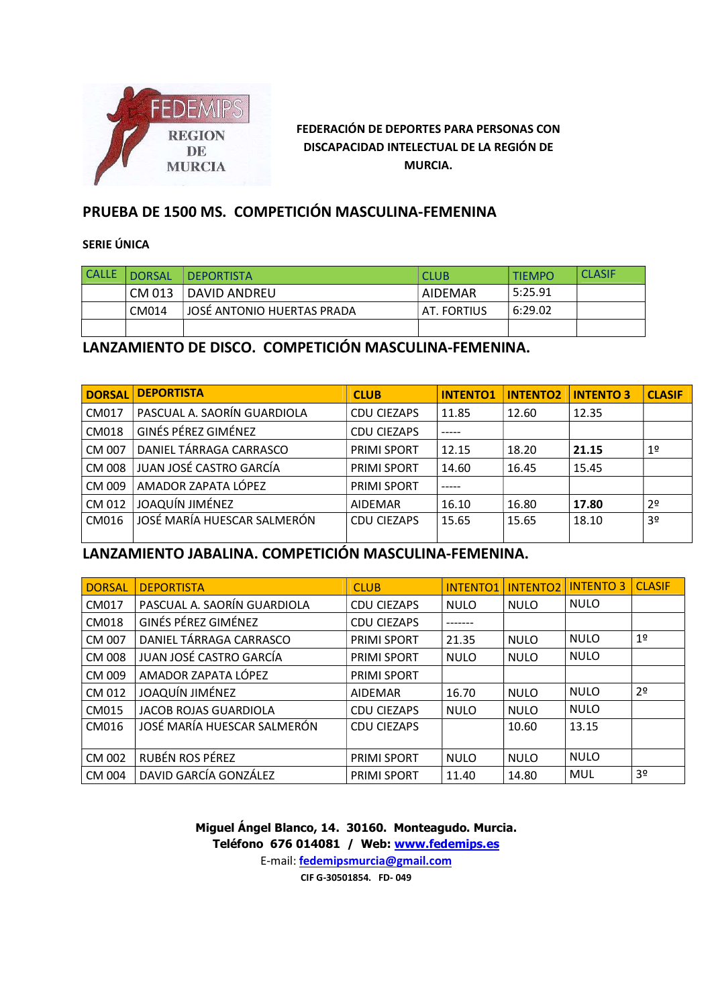

## PRUEBA DE 1500 MS. COMPETICIÓN MASCULINA-FEMENINA

#### SERIE ÚNICA

| <b>CALLE</b> | <b>DORSAL</b> | I DEPORTISTA               | <b>CLUB</b>     | <b>TIEMPO</b> | <b>CLASIF</b> |
|--------------|---------------|----------------------------|-----------------|---------------|---------------|
|              | CM 013        | DAVID ANDREU               | <b>AIDEMAR</b>  | 5:25.91       |               |
|              | CM014         | JOSÉ ANTONIO HUERTAS PRADA | . FORTIUS<br>AT | 6:29.02       |               |
|              |               |                            |                 |               |               |

## LANZAMIENTO DE DISCO. COMPETICIÓN MASCULINA-FEMENINA.

| <b>DORSAL</b> | <b>DEPORTISTA</b>           | <b>CLUB</b>        | <b>INTENTO1</b> | <b>INTENTO2</b> | <b>INTENTO 3</b> | <b>CLASIF</b>  |
|---------------|-----------------------------|--------------------|-----------------|-----------------|------------------|----------------|
| CM017         | PASCUAL A. SAORÍN GUARDIOLA | <b>CDU CIEZAPS</b> | 11.85           | 12.60           | 12.35            |                |
| CM018         | <b>GINÉS PÉREZ GIMÉNEZ</b>  | <b>CDU CIEZAPS</b> |                 |                 |                  |                |
| CM 007        | DANIEL TÁRRAGA CARRASCO     | <b>PRIMI SPORT</b> | 12.15           | 18.20           | 21.15            | 1 <sup>o</sup> |
| <b>CM 008</b> | JUAN JOSÉ CASTRO GARCÍA     | <b>PRIMI SPORT</b> | 14.60           | 16.45           | 15.45            |                |
| CM 009        | AMADOR ZAPATA LÓPEZ         | <b>PRIMI SPORT</b> |                 |                 |                  |                |
| CM 012        | JOAQUÍN JIMÉNEZ             | <b>AIDEMAR</b>     | 16.10           | 16.80           | 17.80            | 2 <sup>o</sup> |
| CM016         | JOSÉ MARÍA HUESCAR SALMERÓN | <b>CDU CIEZAPS</b> | 15.65           | 15.65           | 18.10            | 3 <sup>o</sup> |
|               |                             |                    |                 |                 |                  |                |

# LANZAMIENTO JABALINA. COMPETICIÓN MASCULINA-FEMENINA.

| <b>DORSAL</b> | <b>DEPORTISTA</b>            | <b>CLUB</b>        | <b>INTENTO1</b> | <b>INTENTO2</b> | <b>INTENTO 3</b> | <b>CLASIF</b>  |
|---------------|------------------------------|--------------------|-----------------|-----------------|------------------|----------------|
| CM017         | PASCUAL A. SAORÍN GUARDIOLA  | <b>CDU CIEZAPS</b> | <b>NULO</b>     | <b>NULO</b>     | <b>NULO</b>      |                |
| <b>CM018</b>  | GINÉS PÉREZ GIMÉNEZ          | <b>CDU CIEZAPS</b> | -------         |                 |                  |                |
| CM 007        | DANIEL TÁRRAGA CARRASCO      | <b>PRIMI SPORT</b> | 21.35           | <b>NULO</b>     | <b>NULO</b>      | 1 <sup>°</sup> |
| CM 008        | JUAN JOSÉ CASTRO GARCÍA      | <b>PRIMI SPORT</b> | <b>NULO</b>     | <b>NULO</b>     | <b>NULO</b>      |                |
| CM 009        | AMADOR ZAPATA LÓPEZ          | <b>PRIMI SPORT</b> |                 |                 |                  |                |
| CM 012        | JOAQUÍN JIMÉNEZ              | <b>AIDEMAR</b>     | 16.70           | <b>NULO</b>     | <b>NULO</b>      | 2 <sup>0</sup> |
| CM015         | <b>JACOB ROJAS GUARDIOLA</b> | <b>CDU CIEZAPS</b> | <b>NULO</b>     | <b>NULO</b>     | <b>NULO</b>      |                |
| CM016         | JOSÉ MARÍA HUESCAR SALMERÓN  | <b>CDU CIEZAPS</b> |                 | 10.60           | 13.15            |                |
| CM 002        | RUBÉN ROS PÉREZ              | <b>PRIMI SPORT</b> | <b>NULO</b>     | <b>NULO</b>     | <b>NULO</b>      |                |
| CM 004        | DAVID GARCÍA GONZÁLEZ        | <b>PRIMI SPORT</b> | 11.40           | 14.80           | MUL              | 3 <sup>o</sup> |

Miguel Ángel Blanco, 14. 30160. Monteagudo. Murcia. Teléfono 676 014081 / Web: www.fedemips.es E-mail: fedemipsmurcia@gmail.com

CIF G-30501854. FD- 049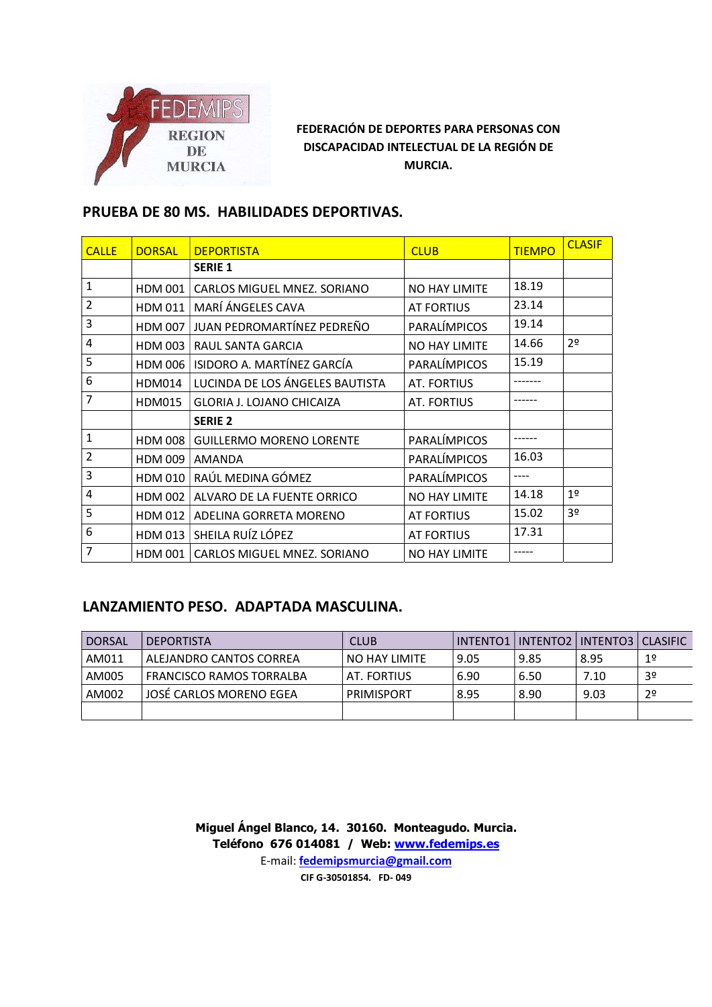

## PRUEBA DE 80 MS. HABILIDADES DEPORTIVAS.

| <b>CALLE</b>     | <b>DORSAL</b>  | <b>DEPORTISTA</b>                | <b>CLUB</b>          | <b>TIEMPO</b> | <b>CLASIF</b>  |
|------------------|----------------|----------------------------------|----------------------|---------------|----------------|
|                  |                | <b>SERIE 1</b>                   |                      |               |                |
| $\mathbf{1}$     | <b>HDM 001</b> | CARLOS MIGUEL MNEZ, SORIANO      | <b>NO HAY LIMITE</b> | 18.19         |                |
| $\overline{2}$   | <b>HDM 011</b> | MARÍ ÁNGELES CAVA                | AT FORTIUS           | 23.14         |                |
| $\mathbf{3}$     | <b>HDM 007</b> | JUAN PEDROMARTÍNEZ PEDREÑO       | PARALÍMPICOS         | 19.14         |                |
| $\overline{4}$   | <b>HDM 003</b> | RAUL SANTA GARCIA                | NO HAY LIMITE        | 14.66         | 2 <sup>0</sup> |
| 5                | <b>HDM 006</b> | ISIDORO A. MARTÍNEZ GARCÍA       | PARALÍMPICOS         | 15.19         |                |
| $\boldsymbol{6}$ | <b>HDM014</b>  | LUCINDA DE LOS ÁNGELES BAUTISTA  | <b>AT. FORTIUS</b>   |               |                |
| 7                | <b>HDM015</b>  | <b>GLORIA J. LOJANO CHICAIZA</b> | AT. FORTIUS          |               |                |
|                  |                | <b>SERIE 2</b>                   |                      |               |                |
| $\mathbf{1}$     | <b>HDM 008</b> | <b>GUILLERMO MORENO LORENTE</b>  | PARALÍMPICOS         |               |                |
| $\overline{2}$   | <b>HDM 009</b> | <b>AMANDA</b>                    | PARALÍMPICOS         | 16.03         |                |
| $\mathbf{3}$     | <b>HDM 010</b> | RAÚL MEDINA GÓMEZ                | PARALÍMPICOS         | ----          |                |
| $\overline{a}$   | <b>HDM 002</b> | ALVARO DE LA FUENTE ORRICO       | <b>NO HAY LIMITE</b> | 14.18         | 19             |
| 5                | HDM 012        | ADELINA GORRETA MORENO           | <b>AT FORTIUS</b>    | 15.02         | 3 <sup>0</sup> |
| 6                | <b>HDM 013</b> | SHEILA RUÍZ LÓPEZ                | AT FORTIUS           | 17.31         |                |
| $\overline{7}$   | HDM 001        | CARLOS MIGUEL MNEZ. SORIANO      | <b>NO HAY LIMITE</b> | -----         |                |

## LANZAMIENTO PESO. ADAPTADA MASCULINA.

| <b>DORSAL</b> | <b>DEPORTISTA</b>        | <b>CLUB</b>   |      |      | INTENTO1   INTENTO2   INTENTO3   CLASIFIC |                |
|---------------|--------------------------|---------------|------|------|-------------------------------------------|----------------|
| AM011         | ALEJANDRO CANTOS CORREA  | NO HAY LIMITE | 9.05 | 9.85 | 8.95                                      | 19             |
| AM005         | FRANCISCO RAMOS TORRALBA | AT. FORTIUS   | 6.90 | 6.50 | 7.10                                      | 3 <sup>o</sup> |
| AM002         | JOSÉ CARLOS MORENO EGEA  | PRIMISPORT    | 8.95 | 8.90 | 9.03                                      | 2 <sup>o</sup> |
|               |                          |               |      |      |                                           |                |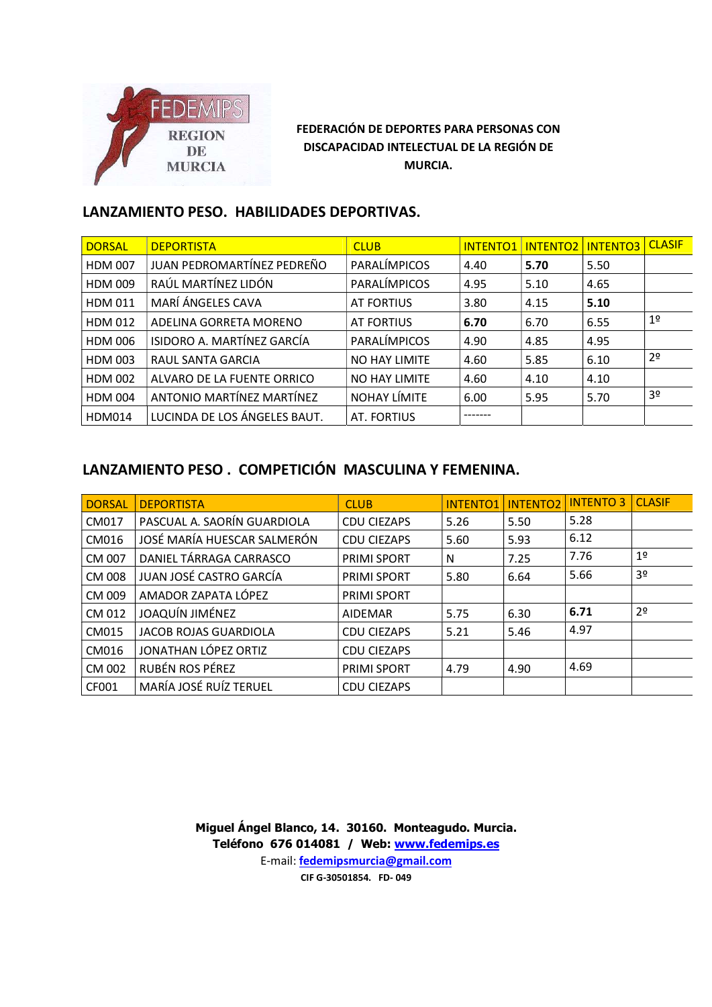

## LANZAMIENTO PESO. HABILIDADES DEPORTIVAS.

| <b>DORSAL</b>  | <b>DEPORTISTA</b>            | <b>CLUB</b>   | <b>INTENTO1</b> |      | INTENTO2   INTENTO3 | <b>CLASIF</b>  |
|----------------|------------------------------|---------------|-----------------|------|---------------------|----------------|
| <b>HDM 007</b> | JUAN PEDROMARTÍNEZ PEDREÑO   | PARALÍMPICOS  | 4.40            | 5.70 | 5.50                |                |
| <b>HDM 009</b> | RAÚL MARTÍNEZ LIDÓN          | PARALÍMPICOS  | 4.95            | 5.10 | 4.65                |                |
| <b>HDM 011</b> | MARÍ ÁNGELES CAVA            | AT FORTIUS    | 3.80            | 4.15 | 5.10                |                |
| <b>HDM 012</b> | ADELINA GORRETA MORENO       | AT FORTIUS    | 6.70            | 6.70 | 6.55                | 1 <sup>°</sup> |
| <b>HDM 006</b> | ISIDORO A. MARTÍNEZ GARCÍA   | PARALÍMPICOS  | 4.90            | 4.85 | 4.95                |                |
| <b>HDM 003</b> | RAUL SANTA GARCIA            | NO HAY LIMITE | 4.60            | 5.85 | 6.10                | 2 <sup>o</sup> |
| <b>HDM 002</b> | ALVARO DE LA FUENTE ORRICO   | NO HAY LIMITE | 4.60            | 4.10 | 4.10                |                |
| <b>HDM 004</b> | ANTONIO MARTÍNEZ MARTÍNEZ    | NOHAY LÍMITE  | 6.00            | 5.95 | 5.70                | 3 <sup>o</sup> |
| HDM014         | LUCINDA DE LOS ÁNGELES BAUT. | AT. FORTIUS   | -------         |      |                     |                |

# LANZAMIENTO PESO . COMPETICIÓN MASCULINA Y FEMENINA.

| <b>DORSAL</b> | <b>DEPORTISTA</b>           | <b>CLUB</b>        | <b>INTENTO1</b> | <b>INTENTO2</b> | <b>INTENTO 3</b> | <b>CLASIF</b>  |
|---------------|-----------------------------|--------------------|-----------------|-----------------|------------------|----------------|
| CM017         | PASCUAL A. SAORÍN GUARDIOLA | <b>CDU CIEZAPS</b> | 5.26            | 5.50            | 5.28             |                |
| CM016         | JOSÉ MARÍA HUESCAR SALMERÓN | <b>CDU CIEZAPS</b> | 5.60            | 5.93            | 6.12             |                |
| CM 007        | DANIEL TÁRRAGA CARRASCO     | <b>PRIMI SPORT</b> | N               | 7.25            | 7.76             | 1 <sup>°</sup> |
| <b>CM 008</b> | JUAN JOSÉ CASTRO GARCÍA     | <b>PRIMI SPORT</b> | 5.80            | 6.64            | 5.66             | 3 <sup>o</sup> |
| CM 009        | AMADOR ZAPATA LÓPEZ         | <b>PRIMI SPORT</b> |                 |                 |                  |                |
| CM 012        | JOAQUÍN JIMÉNEZ             | AIDEMAR            | 5.75            | 6.30            | 6.71             | 2 <sup>0</sup> |
| CM015         | JACOB ROJAS GUARDIOLA       | <b>CDU CIEZAPS</b> | 5.21            | 5.46            | 4.97             |                |
| CM016         | JONATHAN LÓPEZ ORTIZ        | <b>CDU CIEZAPS</b> |                 |                 |                  |                |
| CM 002        | RUBÉN ROS PÉREZ             | <b>PRIMI SPORT</b> | 4.79            | 4.90            | 4.69             |                |
| CF001         | MARÍA JOSÉ RUÍZ TERUEL      | <b>CDU CIEZAPS</b> |                 |                 |                  |                |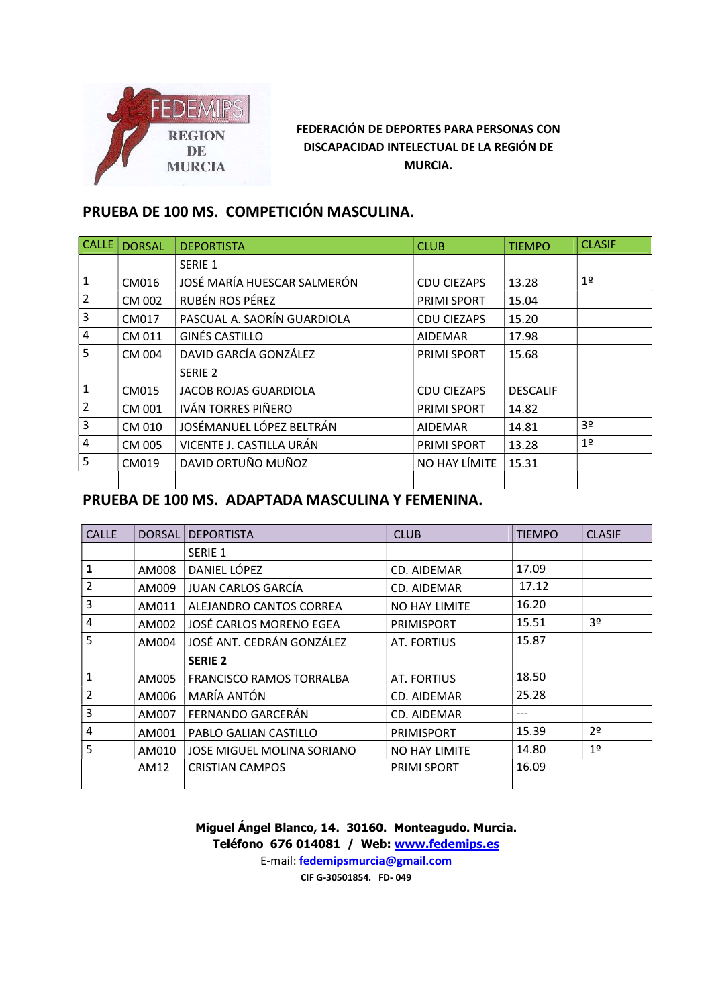

# PRUEBA DE 100 MS. COMPETICIÓN MASCULINA.

| <b>CALLE</b>   | <b>DORSAL</b> | <b>DEPORTISTA</b>           | <b>CLUB</b>        | <b>TIEMPO</b>   | <b>CLASIF</b>  |
|----------------|---------------|-----------------------------|--------------------|-----------------|----------------|
|                |               | SERIE 1                     |                    |                 |                |
| $\mathbf{1}$   | CM016         | JOSÉ MARÍA HUESCAR SALMERÓN | <b>CDU CIEZAPS</b> | 13.28           | 1 <sup>°</sup> |
| $\overline{2}$ | CM 002        | RUBÉN ROS PÉREZ             | <b>PRIMI SPORT</b> | 15.04           |                |
| 3              | CM017         | PASCUAL A. SAORÍN GUARDIOLA | <b>CDU CIEZAPS</b> | 15.20           |                |
| $\overline{4}$ | CM 011        | GINÉS CASTILLO              | <b>AIDEMAR</b>     | 17.98           |                |
| 5              | CM 004        | DAVID GARCÍA GONZÁLEZ       | <b>PRIMI SPORT</b> | 15.68           |                |
|                |               | SERIE 2                     |                    |                 |                |
| $\mathbf{1}$   | CM015         | JACOB ROJAS GUARDIOLA       | <b>CDU CIEZAPS</b> | <b>DESCALIF</b> |                |
| $\overline{2}$ | CM 001        | IVÁN TORRES PIÑERO          | PRIMI SPORT        | 14.82           |                |
| $\mathbf{3}$   | CM 010        | JOSÉMANUEL LÓPEZ BELTRÁN    | <b>AIDEMAR</b>     | 14.81           | 3 <sup>o</sup> |
| 4              | CM 005        | VICENTE J. CASTILLA URÁN    | <b>PRIMI SPORT</b> | 13.28           | 19             |
| 5              | CM019         | DAVID ORTUÑO MUÑOZ          | NO HAY LÍMITE      | 15.31           |                |
|                |               |                             |                    |                 |                |

### PRUEBA DE 100 MS. ADAPTADA MASCULINA Y FEMENINA.

| <b>CALLE</b>   | <b>DORSAL</b> | <b>DEPORTISTA</b>               | <b>CLUB</b>        | <b>TIEMPO</b> | <b>CLASIF</b>  |
|----------------|---------------|---------------------------------|--------------------|---------------|----------------|
|                |               | SERIE 1                         |                    |               |                |
| 1              | AM008         | DANIEL LÓPEZ                    | CD. AIDEMAR        | 17.09         |                |
| $\overline{2}$ | AM009         | JUAN CARLOS GARCÍA              | CD. AIDEMAR        | 17.12         |                |
| 3              | AM011         | ALEJANDRO CANTOS CORREA         | NO HAY LIMITE      | 16.20         |                |
| $\overline{4}$ | AM002         | JOSÉ CARLOS MORENO EGEA         | <b>PRIMISPORT</b>  | 15.51         | 3 <sup>0</sup> |
| 5              | AM004         | JOSÉ ANT. CEDRÁN GONZÁLEZ       | AT. FORTIUS        | 15.87         |                |
|                |               | <b>SERIE 2</b>                  |                    |               |                |
| $\mathbf{1}$   | AM005         | <b>FRANCISCO RAMOS TORRALBA</b> | AT. FORTIUS        | 18.50         |                |
| $\overline{2}$ | AM006         | MARÍA ANTÓN                     | CD. AIDEMAR        | 25.28         |                |
| 3              | AM007         | FERNANDO GARCERÁN               | CD. AIDEMAR        | ---           |                |
| $\overline{4}$ | AM001         | PABLO GALIAN CASTILLO           | <b>PRIMISPORT</b>  | 15.39         | 2 <sup>0</sup> |
| 5              | AM010         | JOSE MIGUEL MOLINA SORIANO      | NO HAY LIMITE      | 14.80         | 19             |
|                | AM12          | <b>CRISTIAN CAMPOS</b>          | <b>PRIMI SPORT</b> | 16.09         |                |
|                |               |                                 |                    |               |                |

Miguel Ángel Blanco, 14. 30160. Monteagudo. Murcia. Teléfono 676 014081 / Web: www.fedemips.es E-mail: fedemipsmurcia@gmail.com

CIF G-30501854. FD- 049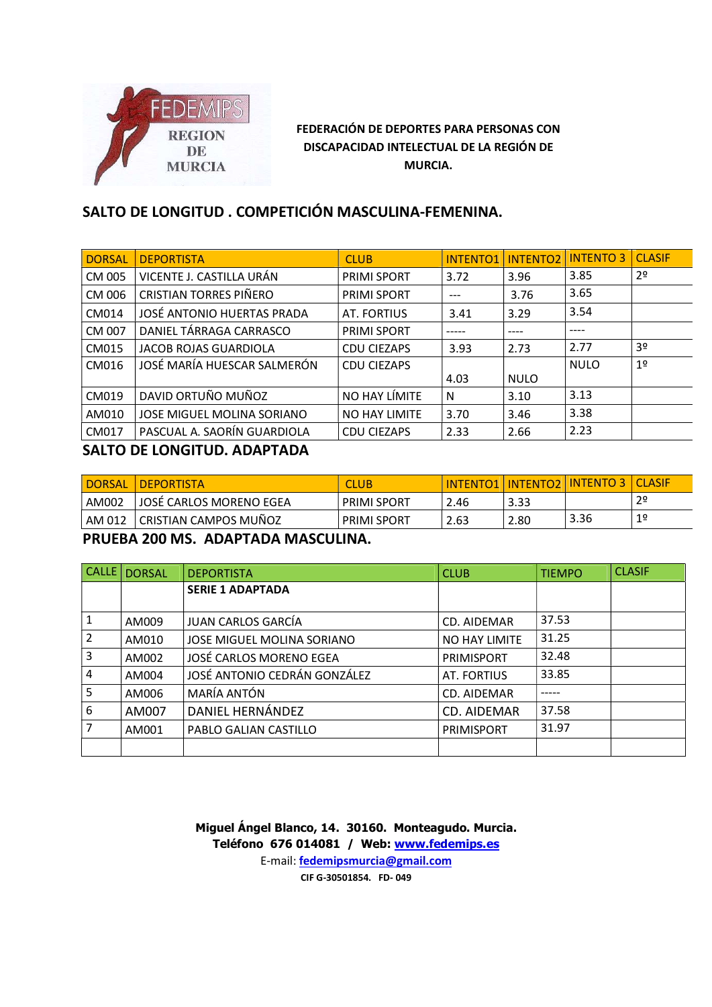

# SALTO DE LONGITUD . COMPETICIÓN MASCULINA-FEMENINA.

| DORSAL       | <b>DEPORTISTA</b>             | <b>CLUB</b>          | <b>INTENTO1</b> | <b>INTENTO2</b> | <b>INTENTO 3</b> | <b>CLASIF</b>  |
|--------------|-------------------------------|----------------------|-----------------|-----------------|------------------|----------------|
| CM 005       | VICENTE J. CASTILLA URÁN      | <b>PRIMI SPORT</b>   | 3.72            | 3.96            | 3.85             | 2 <sup>o</sup> |
| CM 006       | <b>CRISTIAN TORRES PIÑERO</b> | <b>PRIMI SPORT</b>   | $---$           | 3.76            | 3.65             |                |
| CM014        | JOSÉ ANTONIO HUERTAS PRADA    | <b>AT. FORTIUS</b>   | 3.41            | 3.29            | 3.54             |                |
| CM 007       | DANIEL TÁRRAGA CARRASCO       | <b>PRIMI SPORT</b>   | -----           | ----            | ----             |                |
| CM015        | JACOB ROJAS GUARDIOLA         | <b>CDU CIEZAPS</b>   | 3.93            | 2.73            | 2.77             | 3 <sup>o</sup> |
| CM016        | JOSÉ MARÍA HUESCAR SALMERÓN   | <b>CDU CIEZAPS</b>   | 4.03            | <b>NULO</b>     | <b>NULO</b>      | 1 <sup>°</sup> |
| CM019        | DAVID ORTUÑO MUÑOZ            | NO HAY LÍMITE        | N               | 3.10            | 3.13             |                |
| AM010        | JOSE MIGUEL MOLINA SORIANO    | <b>NO HAY LIMITE</b> | 3.70            | 3.46            | 3.38             |                |
| <b>CM017</b> | PASCUAL A. SAORÍN GUARDIOLA   | <b>CDU CIEZAPS</b>   | 2.33            | 2.66            | 2.23             |                |
| -----        |                               |                      |                 |                 |                  |                |

### SALTO DE LONGITUD. ADAPTADA

| DORSAL | <b>DEPORTISTA</b>            | CLUB               | TO1<br>ENT<br><b>INT</b> | <b>INTENTO2</b> | <b>INTENTO</b> | <b>CLASIF</b> |
|--------|------------------------------|--------------------|--------------------------|-----------------|----------------|---------------|
| AM002  | JOSÉ CARLOS MORENO EGEA      | <b>PRIMI SPORT</b> | $\sim$<br>2.46           | 3.33            |                | 29            |
| AM 012 | <b>CRISTIAN CAMPOS MUÑOZ</b> | <b>PRIMI SPORT</b> | 2.63                     | 2.80            | 3.36           |               |

PRUEBA 200 MS. ADAPTADA MASCULINA.

| $ $ CALLE $ $  | <b>DORSAL</b> | <b>DEPORTISTA</b>            | <b>CLUB</b>        | <b>TIEMPO</b> | <b>CLASIF</b> |
|----------------|---------------|------------------------------|--------------------|---------------|---------------|
|                |               | <b>SERIE 1 ADAPTADA</b>      |                    |               |               |
|                |               | JUAN CARLOS GARCÍA           |                    | 37.53         |               |
|                | AM009         |                              | CD. AIDEMAR        |               |               |
| $\overline{2}$ | AM010         | JOSE MIGUEL MOLINA SORIANO   | NO HAY LIMITE      | 31.25         |               |
| 3              | AM002         | JOSÉ CARLOS MORENO EGEA      | <b>PRIMISPORT</b>  | 32.48         |               |
| 4              | AM004         | JOSÉ ANTONIO CEDRÁN GONZÁLEZ | <b>AT. FORTIUS</b> | 33.85         |               |
| 5              | AM006         | MARÍA ANTÓN                  | CD. AIDEMAR        | $- - - - -$   |               |
| 6              | AM007         | DANIEL HERNÁNDEZ             | <b>CD. AIDEMAR</b> | 37.58         |               |
| $\overline{7}$ | AM001         | PABLO GALIAN CASTILLO        | <b>PRIMISPORT</b>  | 31.97         |               |
|                |               |                              |                    |               |               |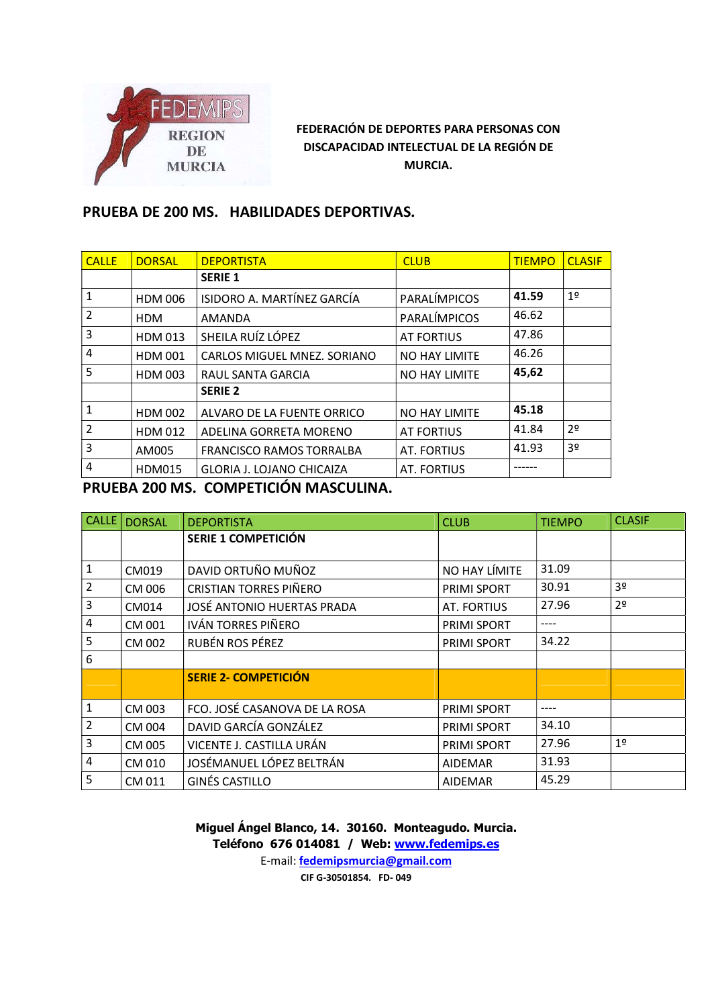

# PRUEBA DE 200 MS. HABILIDADES DEPORTIVAS.

| <b>CALLE</b>   | <b>DORSAL</b>  | <b>DEPORTISTA</b>           | <b>CLUB</b>          | <b>TIEMPO</b> | <b>CLASIF</b>  |
|----------------|----------------|-----------------------------|----------------------|---------------|----------------|
|                |                | <b>SERIE 1</b>              |                      |               |                |
| $\mathbf{1}$   | <b>HDM 006</b> | ISIDORO A. MARTÍNEZ GARCÍA  | PARALÍMPICOS         | 41.59         | 1 <sup>°</sup> |
| $\overline{2}$ | <b>HDM</b>     | <b>AMANDA</b>               | PARALÍMPICOS         | 46.62         |                |
| $\overline{3}$ | <b>HDM 013</b> | SHEILA RUÍZ LÓPEZ           | <b>AT FORTIUS</b>    | 47.86         |                |
| $\overline{4}$ | <b>HDM 001</b> | CARLOS MIGUEL MNEZ. SORIANO | <b>NO HAY LIMITE</b> | 46.26         |                |
| 5              | <b>HDM 003</b> | RAUL SANTA GARCIA           | NO HAY LIMITE        | 45,62         |                |
|                |                | <b>SERIE 2</b>              |                      |               |                |
| $\mathbf{1}$   | <b>HDM 002</b> | ALVARO DE LA FUENTE ORRICO  | NO HAY LIMITE        | 45.18         |                |
| $\overline{2}$ | HDM 012        | ADELINA GORRETA MORENO      | <b>AT FORTIUS</b>    | 41.84         | 2 <sup>0</sup> |
| $\overline{3}$ | AM005          | FRANCISCO RAMOS TORRALBA    | AT. FORTIUS          | 41.93         | 3 <sup>o</sup> |
| $\overline{4}$ | <b>HDM015</b>  | GLORIA J. LOJANO CHICAIZA   | AT. FORTIUS          |               |                |
|                |                |                             |                      |               |                |

PRUEBA 200 MS. COMPETICIÓN MASCULINA.

| CALLE           | <b>DORSAL</b> | <b>DEPORTISTA</b>             | <b>CLUB</b>        | <b>TIEMPO</b> | <b>CLASIF</b>  |
|-----------------|---------------|-------------------------------|--------------------|---------------|----------------|
|                 |               | SERIE 1 COMPETICIÓN           |                    |               |                |
|                 |               |                               |                    |               |                |
| $\mathbf{1}$    | CM019         | DAVID ORTUÑO MUÑOZ            | NO HAY LÍMITE      | 31.09         |                |
| $\overline{2}$  | CM 006        | <b>CRISTIAN TORRES PIÑERO</b> | <b>PRIMI SPORT</b> | 30.91         | 3 <sup>0</sup> |
| $\mathbf{3}$    | CM014         | JOSÉ ANTONIO HUERTAS PRADA    | <b>AT. FORTIUS</b> | 27.96         | 2 <sup>o</sup> |
| $\overline{4}$  | CM 001        | IVÁN TORRES PIÑERO            | PRIMI SPORT        | ----          |                |
| 5               | CM 002        | RUBÉN ROS PÉREZ               | PRIMI SPORT        | 34.22         |                |
| 6               |               |                               |                    |               |                |
|                 |               | <b>SERIE 2- COMPETICIÓN</b>   |                    |               |                |
|                 |               |                               |                    |               |                |
| $\mathbf 1$     | CM 003        | FCO. JOSÉ CASANOVA DE LA ROSA | PRIMI SPORT        | ----          |                |
| $\overline{2}$  | CM 004        | DAVID GARCÍA GONZÁLEZ         | PRIMI SPORT        | 34.10         |                |
| $\mathbf{3}$    | CM 005        | VICENTE J. CASTILLA URÁN      | <b>PRIMI SPORT</b> | 27.96         | 1 <sup>0</sup> |
| $\overline{4}$  | CM 010        | JOSÉMANUEL LÓPEZ BELTRÁN      | <b>AIDEMAR</b>     | 31.93         |                |
| $5\overline{5}$ | CM 011        | GINÉS CASTILLO                | <b>AIDEMAR</b>     | 45.29         |                |

Miguel Ángel Blanco, 14. 30160. Monteagudo. Murcia. Teléfono 676 014081 / Web: www.fedemips.es E-mail: fedemipsmurcia@gmail.com

CIF G-30501854. FD- 049